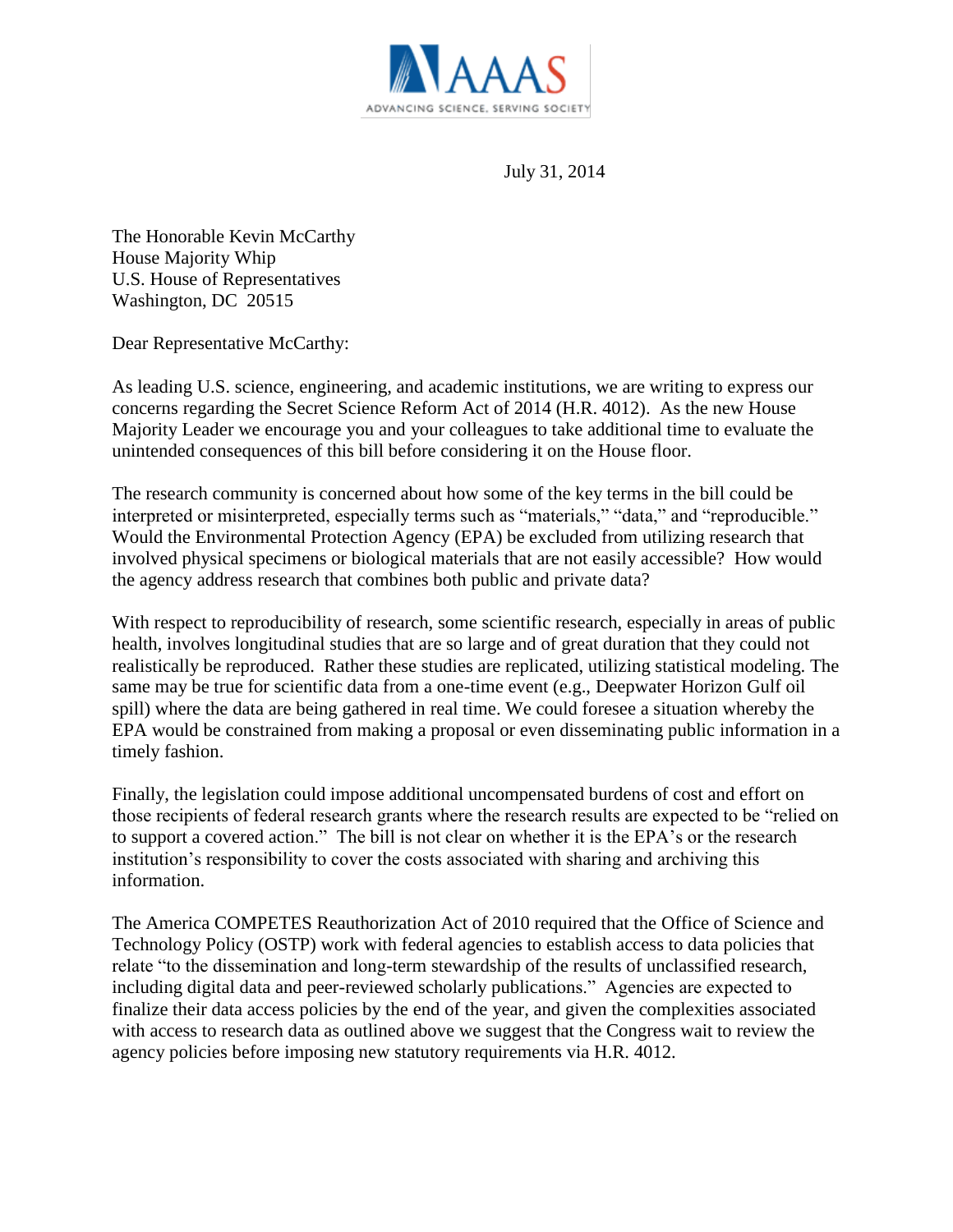

July 31, 2014

The Honorable Kevin McCarthy House Majority Whip U.S. House of Representatives Washington, DC 20515

Dear Representative McCarthy:

As leading U.S. science, engineering, and academic institutions, we are writing to express our concerns regarding the Secret Science Reform Act of 2014 (H.R. 4012). As the new House Majority Leader we encourage you and your colleagues to take additional time to evaluate the unintended consequences of this bill before considering it on the House floor.

The research community is concerned about how some of the key terms in the bill could be interpreted or misinterpreted, especially terms such as "materials," "data," and "reproducible." Would the Environmental Protection Agency (EPA) be excluded from utilizing research that involved physical specimens or biological materials that are not easily accessible? How would the agency address research that combines both public and private data?

With respect to reproducibility of research, some scientific research, especially in areas of public health, involves longitudinal studies that are so large and of great duration that they could not realistically be reproduced. Rather these studies are replicated, utilizing statistical modeling. The same may be true for scientific data from a one-time event (e.g., Deepwater Horizon Gulf oil spill) where the data are being gathered in real time. We could foresee a situation whereby the EPA would be constrained from making a proposal or even disseminating public information in a timely fashion.

Finally, the legislation could impose additional uncompensated burdens of cost and effort on those recipients of federal research grants where the research results are expected to be "relied on to support a covered action." The bill is not clear on whether it is the EPA's or the research institution's responsibility to cover the costs associated with sharing and archiving this information.

The America COMPETES Reauthorization Act of 2010 required that the Office of Science and Technology Policy (OSTP) work with federal agencies to establish access to data policies that relate "to the dissemination and long-term stewardship of the results of unclassified research, including digital data and peer-reviewed scholarly publications." Agencies are expected to finalize their data access policies by the end of the year, and given the complexities associated with access to research data as outlined above we suggest that the Congress wait to review the agency policies before imposing new statutory requirements via H.R. 4012.